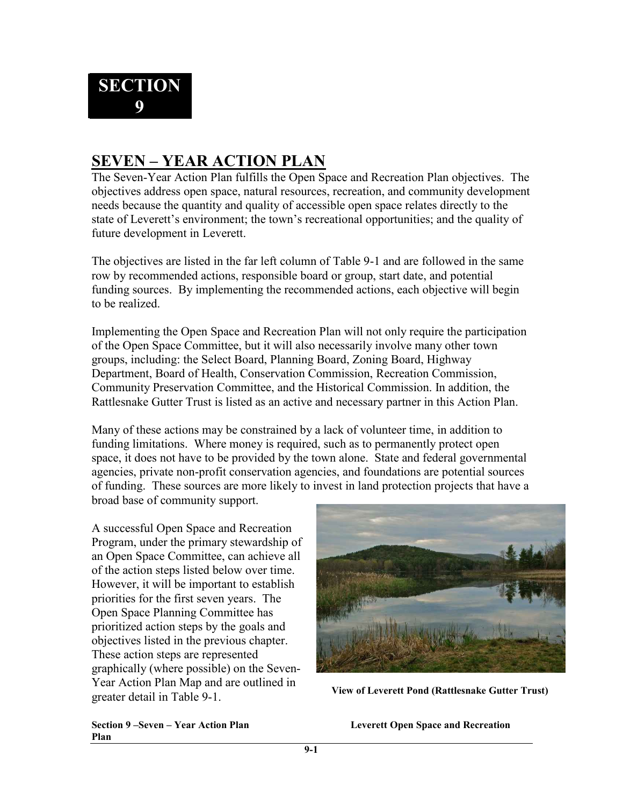## **SEVEN – YEAR ACTION PLAN**

The Seven-Year Action Plan fulfills the Open Space and Recreation Plan objectives. The objectives address open space, natural resources, recreation, and community development needs because the quantity and quality of accessible open space relates directly to the state of Leverett's environment; the town's recreational opportunities; and the quality of future development in Leverett.

The objectives are listed in the far left column of Table 9-1 and are followed in the same row by recommended actions, responsible board or group, start date, and potential funding sources. By implementing the recommended actions, each objective will begin to be realized.

Implementing the Open Space and Recreation Plan will not only require the participation of the Open Space Committee, but it will also necessarily involve many other town groups, including: the Select Board, Planning Board, Zoning Board, Highway Department, Board of Health, Conservation Commission, Recreation Commission, Community Preservation Committee, and the Historical Commission. In addition, the Rattlesnake Gutter Trust is listed as an active and necessary partner in this Action Plan.

Many of these actions may be constrained by a lack of volunteer time, in addition to funding limitations. Where money is required, such as to permanently protect open space, it does not have to be provided by the town alone. State and federal governmental agencies, private non-profit conservation agencies, and foundations are potential sources of funding. These sources are more likely to invest in land protection projects that have a broad base of community support.

A successful Open Space and Recreation Program, under the primary stewardship of an Open Space Committee, can achieve all of the action steps listed below over time. However, it will be important to establish priorities for the first seven years. The Open Space Planning Committee has prioritized action steps by the goals and objectives listed in the previous chapter. These action steps are represented graphically (where possible) on the Seven-Year Action Plan Map and are outlined in greater detail in Table 9-1. **View of Leverett Pond (Rattlesnake Gutter Trust)**



**Plan** 

**Section 9 –Seven – Year Action Plan Leverett Open Space and Recreation**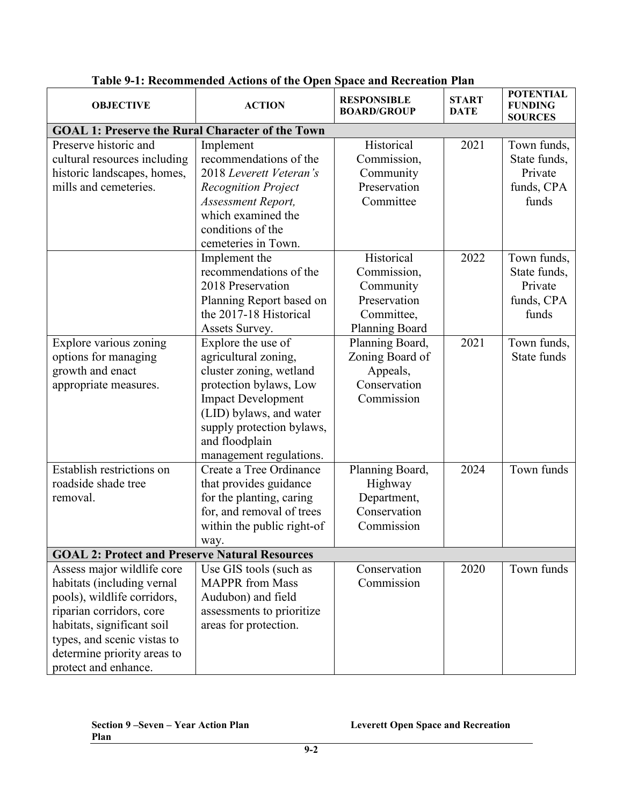| <b>OBJECTIVE</b>                                                                                                                                                                                                                        | <b>ACTION</b>                                                                                                                                                                                                                     | <b>RESPONSIBLE</b><br><b>BOARD/GROUP</b>                                               | <b>START</b><br><b>DATE</b> | <b>POTENTIAL</b><br><b>FUNDING</b><br><b>SOURCES</b>          |
|-----------------------------------------------------------------------------------------------------------------------------------------------------------------------------------------------------------------------------------------|-----------------------------------------------------------------------------------------------------------------------------------------------------------------------------------------------------------------------------------|----------------------------------------------------------------------------------------|-----------------------------|---------------------------------------------------------------|
| <b>GOAL 1: Preserve the Rural Character of the Town</b>                                                                                                                                                                                 |                                                                                                                                                                                                                                   |                                                                                        |                             |                                                               |
| Preserve historic and<br>cultural resources including<br>historic landscapes, homes,<br>mills and cemeteries.                                                                                                                           | Implement<br>recommendations of the<br>2018 Leverett Veteran's<br><b>Recognition Project</b><br><b>Assessment Report,</b><br>which examined the<br>conditions of the<br>cemeteries in Town.                                       | Historical<br>Commission,<br>Community<br>Preservation<br>Committee                    | 2021                        | Town funds,<br>State funds,<br>Private<br>funds, CPA<br>funds |
|                                                                                                                                                                                                                                         | Implement the<br>recommendations of the<br>2018 Preservation<br>Planning Report based on<br>the 2017-18 Historical<br>Assets Survey.                                                                                              | Historical<br>Commission,<br>Community<br>Preservation<br>Committee,<br>Planning Board | 2022                        | Town funds,<br>State funds,<br>Private<br>funds, CPA<br>funds |
| Explore various zoning<br>options for managing<br>growth and enact<br>appropriate measures.                                                                                                                                             | Explore the use of<br>agricultural zoning,<br>cluster zoning, wetland<br>protection bylaws, Low<br><b>Impact Development</b><br>(LID) bylaws, and water<br>supply protection bylaws,<br>and floodplain<br>management regulations. | Planning Board,<br>Zoning Board of<br>Appeals,<br>Conservation<br>Commission           | 2021                        | Town funds,<br>State funds                                    |
| Establish restrictions on<br>roadside shade tree<br>removal.                                                                                                                                                                            | Create a Tree Ordinance<br>that provides guidance<br>for the planting, caring<br>for, and removal of trees<br>within the public right-of<br>way.                                                                                  | Planning Board,<br>Highway<br>Department,<br>Conservation<br>Commission                | 2024                        | Town funds                                                    |
| <b>GOAL 2: Protect and Preserve Natural Resources</b>                                                                                                                                                                                   |                                                                                                                                                                                                                                   |                                                                                        |                             |                                                               |
| Assess major wildlife core<br>habitats (including vernal<br>pools), wildlife corridors,<br>riparian corridors, core<br>habitats, significant soil<br>types, and scenic vistas to<br>determine priority areas to<br>protect and enhance. | Use GIS tools (such as<br><b>MAPPR</b> from Mass<br>Audubon) and field<br>assessments to prioritize<br>areas for protection.                                                                                                      | Conservation<br>Commission                                                             | 2020                        | Town funds                                                    |

## **Table 9-1: Recommended Actions of the Open Space and Recreation Plan**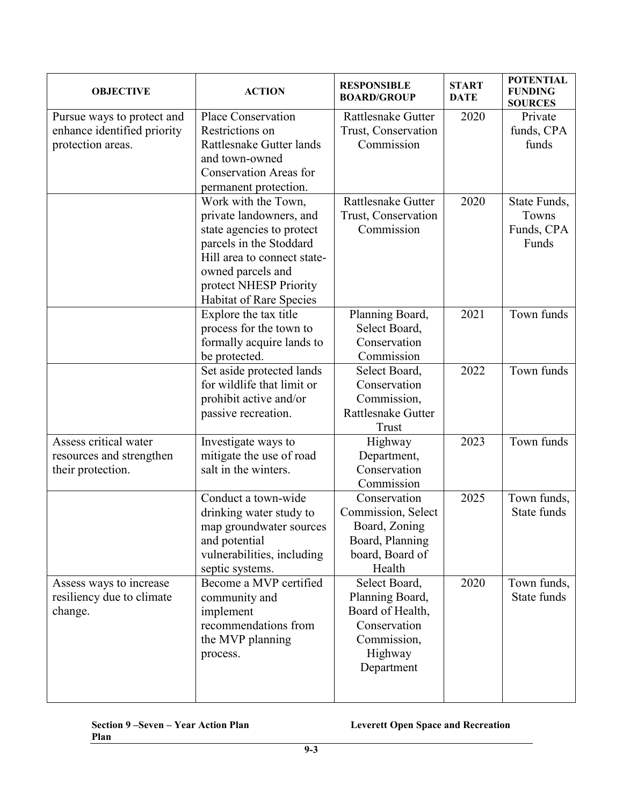| <b>OBJECTIVE</b>                                                               | <b>ACTION</b>                                                                                                                                                                                                   | <b>RESPONSIBLE</b><br><b>BOARD/GROUP</b>                                                                     | <b>START</b><br><b>DATE</b> | <b>POTENTIAL</b><br><b>FUNDING</b><br><b>SOURCES</b> |
|--------------------------------------------------------------------------------|-----------------------------------------------------------------------------------------------------------------------------------------------------------------------------------------------------------------|--------------------------------------------------------------------------------------------------------------|-----------------------------|------------------------------------------------------|
| Pursue ways to protect and<br>enhance identified priority<br>protection areas. | Place Conservation<br>Restrictions on<br>Rattlesnake Gutter lands<br>and town-owned<br><b>Conservation Areas for</b><br>permanent protection.                                                                   | <b>Rattlesnake Gutter</b><br>Trust, Conservation<br>Commission                                               | 2020                        | Private<br>funds, CPA<br>funds                       |
|                                                                                | Work with the Town,<br>private landowners, and<br>state agencies to protect<br>parcels in the Stoddard<br>Hill area to connect state-<br>owned parcels and<br>protect NHESP Priority<br>Habitat of Rare Species | Rattlesnake Gutter<br>Trust, Conservation<br>Commission                                                      | 2020                        | State Funds,<br>Towns<br>Funds, CPA<br>Funds         |
|                                                                                | Explore the tax title<br>process for the town to<br>formally acquire lands to<br>be protected.                                                                                                                  | Planning Board,<br>Select Board,<br>Conservation<br>Commission                                               | 2021                        | Town funds                                           |
|                                                                                | Set aside protected lands<br>for wildlife that limit or<br>prohibit active and/or<br>passive recreation.                                                                                                        | Select Board,<br>Conservation<br>Commission,<br><b>Rattlesnake Gutter</b><br>Trust                           | 2022                        | Town funds                                           |
| Assess critical water<br>resources and strengthen<br>their protection.         | Investigate ways to<br>mitigate the use of road<br>salt in the winters.                                                                                                                                         | Highway<br>Department,<br>Conservation<br>Commission                                                         | 2023                        | Town funds                                           |
|                                                                                | Conduct a town-wide<br>drinking water study to<br>map groundwater sources<br>and potential<br>vulnerabilities, including<br>septic systems.                                                                     | Conservation<br>Commission, Select<br>Board, Zoning<br>Board, Planning<br>board, Board of<br>Health          | 2025                        | Town funds,<br>State funds                           |
| Assess ways to increase<br>resiliency due to climate<br>change.                | Become a MVP certified<br>community and<br>implement<br>recommendations from<br>the MVP planning<br>process.                                                                                                    | Select Board,<br>Planning Board,<br>Board of Health,<br>Conservation<br>Commission,<br>Highway<br>Department | 2020                        | Town funds,<br>State funds                           |

**Section 9 –Seven – Year Action Plan Leverett Open Space and Recreation**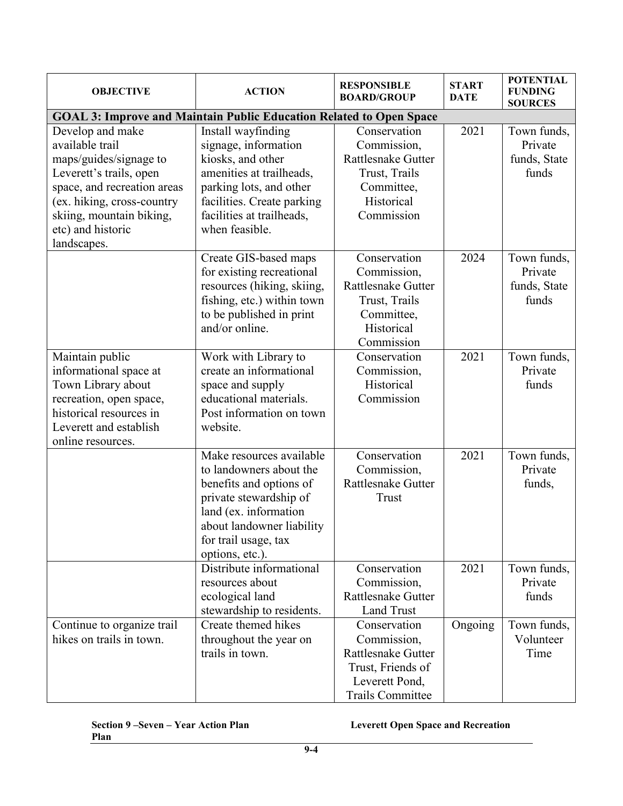| <b>OBJECTIVE</b>                                                                                                                                                                                                      | <b>ACTION</b>                                                                                                                                                                                             | <b>RESPONSIBLE</b><br><b>BOARD/GROUP</b>                                                                                   | <b>START</b><br><b>DATE</b> | <b>POTENTIAL</b><br><b>FUNDING</b><br><b>SOURCES</b> |
|-----------------------------------------------------------------------------------------------------------------------------------------------------------------------------------------------------------------------|-----------------------------------------------------------------------------------------------------------------------------------------------------------------------------------------------------------|----------------------------------------------------------------------------------------------------------------------------|-----------------------------|------------------------------------------------------|
| <b>GOAL 3: Improve and Maintain Public Education Related to Open Space</b>                                                                                                                                            |                                                                                                                                                                                                           |                                                                                                                            |                             |                                                      |
| Develop and make<br>available trail<br>maps/guides/signage to<br>Leverett's trails, open<br>space, and recreation areas<br>(ex. hiking, cross-country<br>skiing, mountain biking,<br>etc) and historic<br>landscapes. | Install wayfinding<br>signage, information<br>kiosks, and other<br>amenities at trailheads,<br>parking lots, and other<br>facilities. Create parking<br>facilities at trailheads,<br>when feasible.       | Conservation<br>Commission,<br><b>Rattlesnake Gutter</b><br>Trust, Trails<br>Committee,<br>Historical<br>Commission        | 2021                        | Town funds,<br>Private<br>funds, State<br>funds      |
|                                                                                                                                                                                                                       | Create GIS-based maps<br>for existing recreational<br>resources (hiking, skiing,<br>fishing, etc.) within town<br>to be published in print<br>and/or online.                                              | Conservation<br>Commission,<br>Rattlesnake Gutter<br>Trust, Trails<br>Committee,<br>Historical<br>Commission               | 2024                        | Town funds,<br>Private<br>funds, State<br>funds      |
| Maintain public<br>informational space at<br>Town Library about<br>recreation, open space,<br>historical resources in<br>Leverett and establish<br>online resources.                                                  | Work with Library to<br>create an informational<br>space and supply<br>educational materials.<br>Post information on town<br>website.                                                                     | Conservation<br>Commission,<br>Historical<br>Commission                                                                    | 2021                        | Town funds,<br>Private<br>funds                      |
|                                                                                                                                                                                                                       | Make resources available<br>to landowners about the<br>benefits and options of<br>private stewardship of<br>land (ex. information<br>about landowner liability<br>for trail usage, tax<br>options, etc.). | Conservation<br>Commission,<br>Rattlesnake Gutter<br>Trust                                                                 | 2021                        | Town funds,<br>Private<br>funds,                     |
|                                                                                                                                                                                                                       | Distribute informational<br>resources about<br>ecological land<br>stewardship to residents.                                                                                                               | Conservation<br>Commission,<br><b>Rattlesnake Gutter</b><br><b>Land Trust</b>                                              | 2021                        | Town funds,<br>Private<br>funds                      |
| Continue to organize trail<br>hikes on trails in town.                                                                                                                                                                | Create themed hikes<br>throughout the year on<br>trails in town.                                                                                                                                          | Conservation<br>Commission,<br><b>Rattlesnake Gutter</b><br>Trust, Friends of<br>Leverett Pond,<br><b>Trails Committee</b> | Ongoing                     | Town funds,<br>Volunteer<br>Time                     |

**Section 9 –Seven – Year Action Plan Leverett Open Space and Recreation**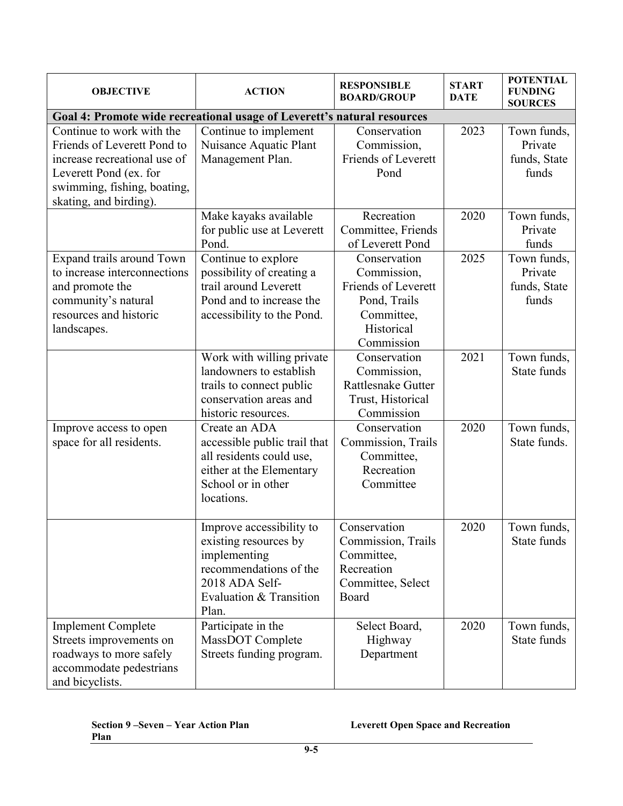| <b>OBJECTIVE</b>                                                                                                                                                            | <b>ACTION</b>                                                                                                                                     | <b>RESPONSIBLE</b><br><b>BOARD/GROUP</b>                                                                     | <b>START</b><br><b>DATE</b> | <b>POTENTIAL</b><br><b>FUNDING</b><br><b>SOURCES</b> |
|-----------------------------------------------------------------------------------------------------------------------------------------------------------------------------|---------------------------------------------------------------------------------------------------------------------------------------------------|--------------------------------------------------------------------------------------------------------------|-----------------------------|------------------------------------------------------|
| Goal 4: Promote wide recreational usage of Leverett's natural resources                                                                                                     |                                                                                                                                                   |                                                                                                              |                             |                                                      |
| Continue to work with the<br>Friends of Leverett Pond to<br>increase recreational use of<br>Leverett Pond (ex. for<br>swimming, fishing, boating,<br>skating, and birding). | Continue to implement<br>Nuisance Aquatic Plant<br>Management Plan.                                                                               | Conservation<br>Commission,<br>Friends of Leverett<br>Pond                                                   | 2023                        | Town funds,<br>Private<br>funds, State<br>funds      |
|                                                                                                                                                                             | Make kayaks available<br>for public use at Leverett<br>Pond.                                                                                      | Recreation<br>Committee, Friends<br>of Leverett Pond                                                         | 2020                        | Town funds,<br>Private<br>funds                      |
| Expand trails around Town<br>to increase interconnections<br>and promote the<br>community's natural<br>resources and historic<br>landscapes.                                | Continue to explore<br>possibility of creating a<br>trail around Leverett<br>Pond and to increase the<br>accessibility to the Pond.               | Conservation<br>Commission,<br>Friends of Leverett<br>Pond, Trails<br>Committee,<br>Historical<br>Commission | 2025                        | Town funds,<br>Private<br>funds, State<br>funds      |
|                                                                                                                                                                             | Work with willing private<br>landowners to establish<br>trails to connect public<br>conservation areas and<br>historic resources.                 | Conservation<br>Commission,<br>Rattlesnake Gutter<br>Trust, Historical<br>Commission                         | 2021                        | Town funds,<br>State funds                           |
| Improve access to open<br>space for all residents.                                                                                                                          | Create an ADA<br>accessible public trail that<br>all residents could use,<br>either at the Elementary<br>School or in other<br>locations.         | Conservation<br>Commission, Trails<br>Committee,<br>Recreation<br>Committee                                  | 2020                        | Town funds,<br>State funds.                          |
|                                                                                                                                                                             | Improve accessibility to<br>existing resources by<br>implementing<br>recommendations of the<br>2018 ADA Self-<br>Evaluation & Transition<br>Plan. | Conservation<br>Commission, Trails<br>Committee,<br>Recreation<br>Committee, Select<br>Board                 | 2020                        | Town funds.<br>State funds                           |
| <b>Implement Complete</b><br>Streets improvements on<br>roadways to more safely<br>accommodate pedestrians<br>and bicyclists.                                               | Participate in the<br>MassDOT Complete<br>Streets funding program.                                                                                | Select Board,<br>Highway<br>Department                                                                       | 2020                        | Town funds,<br>State funds                           |